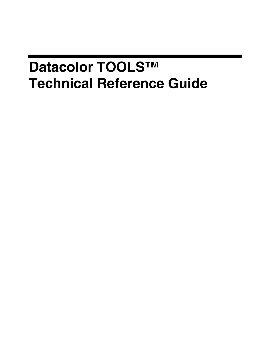# **Datacolor TOOLS™ Technical Reference Guide**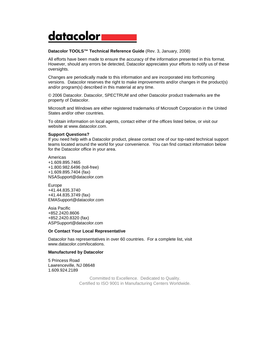# datacolor

#### **Datacolor TOOLS™ Technical Reference Guide** (Rev. 3, January, 2008)

All efforts have been made to ensure the accuracy of the information presented in this format. However, should any errors be detected, Datacolor appreciates your efforts to notify us of these oversights.

Changes are periodically made to this information and are incorporated into forthcoming versions. Datacolor reserves the right to make improvements and/or changes in the product(s) and/or program(s) described in this material at any time.

© 2006 Datacolor. Datacolor, SPECTRUM and other Datacolor product trademarks are the property of Datacolor.

Microsoft and Windows are either registered trademarks of Microsoft Corporation in the United States and/or other countries.

To obtain information on local agents, contact either of the offices listed below, or visit our website at www.datacolor.com.

#### **Support Questions?**

If you need help with a Datacolor product, please contact one of our top-rated technical support teams located around the world for your convenience. You can find contact information below for the Datacolor office in your area.

Americas +1.609.895.7465 +1.800.982.6496 (toll-free) +1.609.895.7404 (fax) NSASupport@datacolor.com

Europe +41.44.835.3740 +41.44.835.3749 (fax) EMASupport@datacolor.com

Asia Pacific +852.2420.8606 +852.2420.8320 (fax) ASPSupport@datacolor.com

#### **Or Contact Your Local Representative**

Datacolor has representatives in over 60 countries. For a complete list, visit www.datacolor.com/locations.

#### **Manufactured by Datacolor**

5 Princess Road Lawrenceville, NJ 08648 1.609.924.2189

> Committed to Excellence. Dedicated to Quality. Certified to ISO 9001 in Manufacturing Centers Worldwide.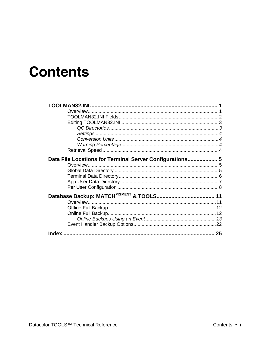# **Contents**

| Data File Locations for Terminal Server Configurations 5 |  |
|----------------------------------------------------------|--|
|                                                          |  |
|                                                          |  |
|                                                          |  |
|                                                          |  |
|                                                          |  |
|                                                          |  |
|                                                          |  |
|                                                          |  |
|                                                          |  |
|                                                          |  |
|                                                          |  |
|                                                          |  |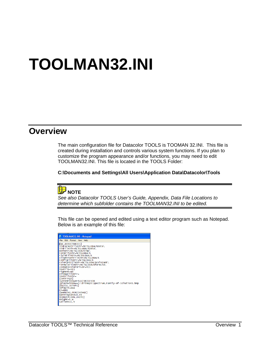# **TOOLMAN32.INI**

## **Overview**

The main configuration file for Datacolor TOOLS is TOOMAN 32.INI. This file is created during installation and controls various system functions. If you plan to customize the program appearance and/or functions, you may need to edit TOOLMAN32.INI. This file is located in the TOOLS Folder:

#### **C:\Documents and Settings\All Users\Application Data\Datacolor\Tools**



*See also Datacolor TOOLS User's Guide, Appendix, Data File Locations to determine which subfolder contains the TOOLMAN32.INI to be edited.* 

This file can be opened and edited using a text editor program such as Notepad. Below is an example of this file:

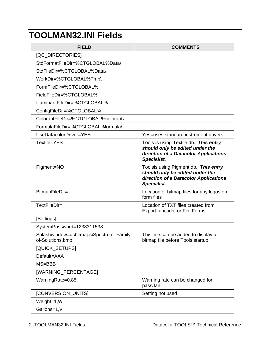# **TOOLMAN32.INI Fields**

| <b>FIELD</b>                                                 | <b>COMMENTS</b>                                                                                                                  |
|--------------------------------------------------------------|----------------------------------------------------------------------------------------------------------------------------------|
| [QC_DIRECTORIES]                                             |                                                                                                                                  |
| StdFormatFileDir=%CTGLOBAL%Data\                             |                                                                                                                                  |
| StdFileDir=%CTGLOBAL%Data\                                   |                                                                                                                                  |
| WorkDir=%CTGLOBAL%Tmp\                                       |                                                                                                                                  |
| FormFileDir=%CTGLOBAL%                                       |                                                                                                                                  |
| FieldFileDir=%CTGLOBAL%                                      |                                                                                                                                  |
| IlluminantFileDir=%CTGLOBAL%                                 |                                                                                                                                  |
| ConfigFileDir=%CTGLOBAL%                                     |                                                                                                                                  |
| ColorantFileDir=%CTGLOBAL%colorant\                          |                                                                                                                                  |
| FormulaFileDir=%CTGLOBAL%formula\                            |                                                                                                                                  |
| UseDatacolorDriver=YES                                       | Yes=uses standard instrument drivers                                                                                             |
| Textile=YES                                                  | Tools is using Textile db. This entry<br>should only be edited under the<br>direction of a Datacolor Applications<br>Specialist. |
| Pigment=NO                                                   | Toolsis using Pigment db. This entry<br>should only be edited under the<br>direction of a Datacolor Applications<br>Specialist.  |
| BitmapFileDir=                                               | Location of bitmap files for any logos on<br>form files                                                                          |
| TextFileDir=                                                 | Location of TXT files created from<br>Export function, or File Forms.                                                            |
| [Settings]                                                   |                                                                                                                                  |
| SystemPassword=1238311538                                    |                                                                                                                                  |
| Splashwindow=c:\bitmaps\Spectrum_Family-<br>of-Solutions.bmp | This line can be added to display a<br>bitmap file before Tools startup                                                          |
| [QUICK_SETUPS]                                               |                                                                                                                                  |
| Default=AAA                                                  |                                                                                                                                  |
| $MS = BBB$                                                   |                                                                                                                                  |
| [WARNING_PERCENTAGE]                                         |                                                                                                                                  |
| WarningRate=0.85                                             | Warning rate can be changed for<br>pass/fail                                                                                     |
| [CONVERSION_UNITS]                                           | Setting not used                                                                                                                 |
| Weight=1,W                                                   |                                                                                                                                  |
| Gallons=1,V                                                  |                                                                                                                                  |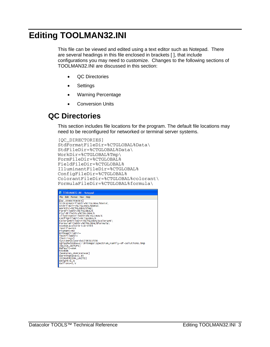# **Editing TOOLMAN32.INI**

This file can be viewed and edited using a text editor such as Notepad. There are several headings in this file enclosed in brackets [ ], that include configurations you may need to customize. Changes to the following sections of TOOLMAN32.INI are discussed in this section:

- QC Directories
- Settings
- Warning Percentage
- Conversion Units

## **QC Directories**

This section includes file locations for the program. The default file locations may need to be reconfigured for networked or terminal server systems.

```
[OC_DIRECTORIES]
StdFormatFileDir=%CTGLOBAL%Data\ 
StdFileDir=%CTGLOBAL%Data\ 
WorkDir=%CTGLOBAL%Tmp\ 
FormFileDir=%CTGLOBAL% 
FieldFileDir=%CTGLOBAL% 
IlluminantFileDir=%CTGLOBAL% 
ConfigFileDir=%CTGLOBAL% 
ColorantFileDir=%CTGLOBAL%colorant\ 
FormulaFileDir=%CTGLOBAL%formula\
```

| TOOLMAN32.INI - Notepad                                                                                                                                                                                                                                                                                                                                                                                                                                                                                                                                                                           |
|---------------------------------------------------------------------------------------------------------------------------------------------------------------------------------------------------------------------------------------------------------------------------------------------------------------------------------------------------------------------------------------------------------------------------------------------------------------------------------------------------------------------------------------------------------------------------------------------------|
| File Edit Format View Help                                                                                                                                                                                                                                                                                                                                                                                                                                                                                                                                                                        |
| [QC_DIRECTORIES]<br>StdFormatFileDir=%CTGLOBAL%Data\<br>StdFileDir=%CTGLOBAL%Data\<br>WorkDir=%CTGLOBAL%Tmp\<br>FormFileDir=%CTGLOBAL%<br>FieldFileDir=%CTGLOBAL%<br>IlluminantFileDir=%CTGLOBAL%<br>ConfigFileDir=%CTGLOBAL%<br>ColorantFileDir=%CTGLOBAL%colorant\<br>FormulaFileDir=%CTGLOBAL%formula\<br>UseDatacolorDriver=YES<br>Textile=YES<br>Pigment=NO<br>BitmapFileDir=<br>TextFileDir=<br>[Settings]<br>SystemPassword=1238311538<br>Splashwindow=c:\bitmaps\Spectrum_Family-of-Solutions.bmp<br>[fouICK_SETUPS]<br>Default=AAA<br>MS=BBB<br>[WARNING_PERCENTAGE]<br>WarningRate=0.85 |
| <b>CONVERSION UNITS</b><br>$Weight = 1. W$<br>Gallons=1.V                                                                                                                                                                                                                                                                                                                                                                                                                                                                                                                                         |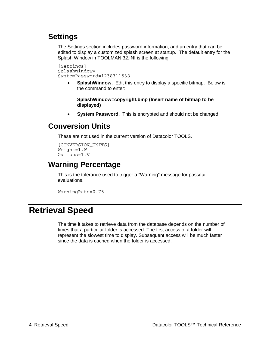## **Settings**

The Settings section includes password information, and an entry that can be edited to display a customized splash screen at startup. The default entry for the Splash Window in TOOLMAN 32.INI is the following:

```
[Settings]
SplashWindow= 
SystemPassword=1238311538
```
• **SplashWindow.** Edit this entry to display a specific bitmap. Below is the command to enter:

#### **SplashWindow=copyright.bmp (Insert name of bitmap to be displayed)**

• **System Password.** This is encrypted and should not be changed.

## **Conversion Units**

These are not used in the current version of Datacolor TOOLS.

```
[CONVERSION_UNITS] 
Weight=1,W 
Gallons=1,V
```
## **Warning Percentage**

This is the tolerance used to trigger a "Warning" message for pass/fail evaluations.

```
WarningRate=0.75
```
# **Retrieval Speed**

The time it takes to retrieve data from the database depends on the number of times that a particular folder is accessed. The first access of a folder will represent the slowest time to display. Subsequent access will be much faster since the data is cached when the folder is accessed.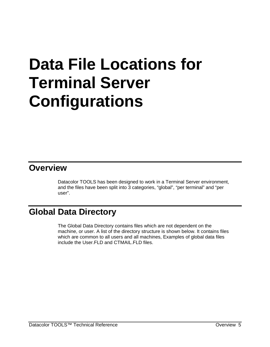# <span id="page-8-0"></span>**Data File Locations for Terminal Server Configurations**

## **Overview**

Datacolor TOOLS has been designed to work in a Terminal Server environment, and the files have been split into 3 categories, "global", "per terminal" and "per user".

# **Global Data Directory**

The Global Data Directory contains files which are not dependent on the machine, or user. A list of the directory structure is shown below. It contains files which are common to all users and all machines, Examples of global data files include the User.FLD and CTMAIL.FLD files.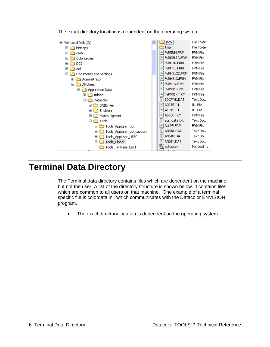The exact directory location is dependent on the operating system.



# **Terminal Data Directory**

The Terminal data directory contains files which are dependent on the machine, but not the user. A list of the directory structure is shown below. It contains files which are common to all users on that machine. One example of a terminal specific file is colordata.ini, which communicates with the Datacolor ENVISION program.

The exact directory location is dependent on the operating system.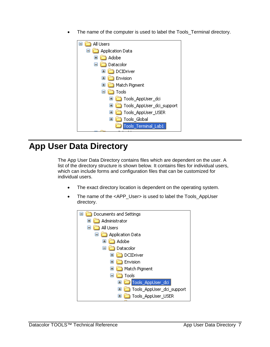• The name of the computer is used to label the Tools\_Terminal directory.

<span id="page-10-0"></span>

| All Users                        |
|----------------------------------|
| Application Data                 |
| Ŧ<br>Adobe                       |
| Datacolor<br>Ξ                   |
| DCIDriver<br>E                   |
| <b>Envision</b><br>E             |
| <b>Match Pigment</b><br>E        |
| ী Tools<br>н                     |
| $\blacksquare$ Tools AppUser dci |
| Tools AppUser dci support<br>H   |
| Tools AppUser USER<br>$\pm$      |
| Tools_Global<br>Ŧ                |
| Tools_Terminal_Lab1              |
|                                  |

# **App User Data Directory**

The App User Data Directory contains files which are dependent on the user. A list of the directory structure is shown below. It contains files for individual users, which can include forms and configuration files that can be customized for individual users.

- The exact directory location is dependent on the operating system.
- The name of the <APP\_User> is used to label the Tools\_AppUser directory.

| Documents and Settings         |
|--------------------------------|
| Administrator<br>Ŧ             |
| All Users<br>н                 |
| Application Data<br>$=$        |
| Adobe<br>Ŧ                     |
| Datacolor                      |
| <b>DCIDriver</b><br>Ŧ          |
| Envision<br>H                  |
| Match Pigment<br>H             |
| Tools                          |
| Tools_AppUser_dci<br>⊞         |
| Tools AppUser dai support<br>Ŧ |
| Tools_AppUser_USER<br>H.       |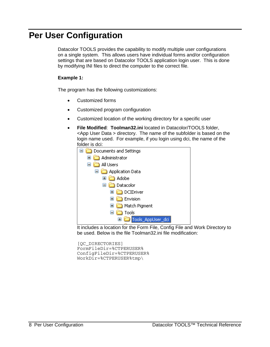# <span id="page-11-0"></span>**Per User Configuration**

Datacolor TOOLS provides the capability to modify multiple user configurations on a single system. This allows users have individual forms and/or configuration settings that are based on Datacolor TOOLS application login user. This is done by modifying INI files to direct the computer to the correct file.

#### **Example 1:**

The program has the following customizations:

- Customized forms
- Customized program configuration
- Customized location of the working directory for a specific user
- **File Modified**: **Toolman32.ini** located in Datacolor/TOOLS folder, <App User Data > directory. The name of the subfolder is based on the login name used. For example, if you login using dci, the name of the folder is dci:



It includes a location for the Form File, Config File and Work Directory to be used. Below is the file Toolman32.ini file modification:

```
[OC_DIRECTORIES]
FormFileDir=%CTPERUSER% 
ConfigFileDir=%CTPERUSER% 
WorkDir=%CTPERUSER%tmp\
```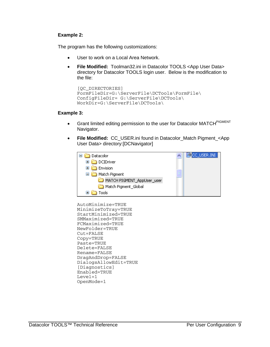#### **Example 2:**

The program has the following customizations:

- User to work on a Local Area Network.
- **File Modified:** Toolman32.ini in Datacolor TOOLS <App User Data> directory for Datacolor TOOLS login user. Below is the modification to the file:

```
[QC_DIRECTORIES] 
FormFileDir=G:\ServerFile\DCTools\FormFile\ 
ConfigFileDir= G:\ServerFile\DCTools\ 
WorkDir=G:\ServerFile\DCTools\
```
#### **Example 3:**

- Grant limited editing permission to the user for Datacolor MATCH<sup>PIGMENT</sup> Navigator.
- **File Modified:** CC\_USER.ini found in Datacolor\_Match Pigment\_<App User Data> directory:[DCNavigator]

| Datacolor                  | $\mathbb{Z}$ (C $\,$ USER.INI, |
|----------------------------|--------------------------------|
| DCIDriver<br>⊞             |                                |
| Envision<br>Ŧ              |                                |
| Match Pigment              |                                |
| MATCH PIGMENT_AppUser_user |                                |
| Match Pigment_Global       |                                |
| Tools<br>$+$               |                                |

```
AutoMinimize=TRUE 
MinimizeToTray=TRUE 
StartMinimized=TRUE 
SMMaximized=TRUE 
FCMaximized=TRUE 
NewFolder=TRUE 
Cut=FALSE 
Copy=TRUE 
Paste=TRUE 
Delete=FALSE 
Rename=FALSE 
DragAndDrop=FALSE 
DialogsAllowEdit=TRUE 
[Diagnostics] 
Enabled=TRUE 
Level=1 
OpenMode=1
```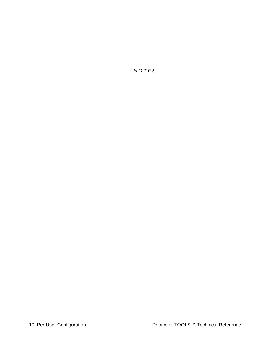*N O T E S*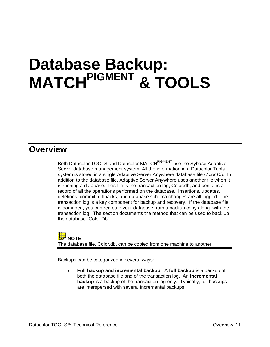# <span id="page-14-1"></span><span id="page-14-0"></span>**Database Backup: MATCHPIGMENT & TOOLS**

## **Overview**

Both Datacolor TOOLS and Datacolor MATCH<sup>PIGMENT</sup> use the Sybase Adaptive Server database management system. All the information in a Datacolor Tools system is stored in a single Adaptive Server Anywhere database file *Color.Db.* In addition to the database file, Adaptive Server Anywhere uses another file when it is running a database. This file is the transaction log, Color.db, and contains a record of all the operations performed on the database. Insertions, updates, deletions, commit, rollbacks, and database schema changes are all logged. The transaction log is a key component for backup and recovery. If the database file is damaged, you can recreate your database from a backup copy along with the transaction log. The section documents the method that can be used to back up the database "Color.Db".



The database file, Color.db, can be copied from one machine to another.

Backups can be categorized in several ways:

• **Full backup and incremental backup**. A **full backup** is a backup of both the database file and of the transaction log. An **incremental backup** is a backup of the transaction log only. Typically, full backups are interspersed with several incremental backups.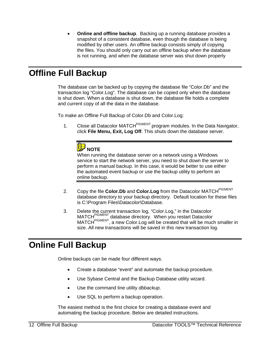<span id="page-15-0"></span>• **Online and offline backup**. Backing up a running database provides a snapshot of a consistent database, even though the database is being modified by other users. An offline backup consists simply of copying the files. You should only carry out an offline backup when the database is not running, and when the database server was shut down properly

# **Offline Full Backup**

The database can be backed up by copying the database file "Color.Db" and the transaction log "Color.Log". The database can be copied only when the database is shut down. When a database is shut down, the database file holds a complete and current copy of all the data in the database.

To make an Offline Full Backup of Color.Db and Color.Log:

1. Close all Datacolor MATCH<sup>PIGMENT</sup> program modules. In the Data Navigator, click **File Menu, Exit, Log Off**. This shuts down the database server.



<span id="page-15-1"></span>When running the database server on a network using a Windows service to start the network server, you need to shut down the server to perform a manual backup. In this case, it would be better to use either the automated event backup or use the backup utility to perform an online backup.

- 2. Copy the file **Color.Db** and **Color.Log** from the Datacolor MATCH<sup>PIGMENT</sup> database directory to your backup directory. Default location for these files is C:\Program Files\Datacolor\Database.
- 3. Delete the current transaction log, "Color.Log," in the Datacolor MATCHPIGMENT database directory. When you restart Datacolor MATCH<sup>PIGMENT</sup>, a new Color.Log will be created that will be much smaller in size. All new transactions will be saved in this new transaction log.

## **Online Full Backup**

Online backups can be made four different ways.

- Create a database "event" and automate the backup procedure.
- Use Sybase Central and the Backup Database utility wizard.
- Use the command line utility *dbbackup*.
- Use SQL to perform a backup operation.

The easiest method is the first choice for creating a database event and automating the backup procedure. Below are detailed instructions.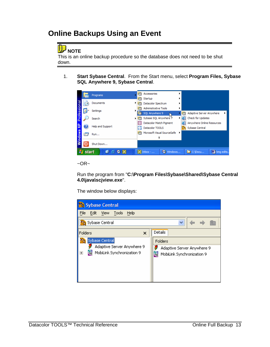## <span id="page-16-0"></span>**Online Backups Using an Event**

### **NOTE**

This is an online backup procedure so the database does not need to be shut down.

1. **Start Sybase Central**. From the Start menu, select **Program Files, Sybase SQL Anywhere 9, Sybase Central**.



 $~\sim$  OR $~\sim$ 

Run the program from "**C:\Program Files\Sybase\Shared\Sybase Central 4.0\java\scjview.exe**".

The window below displays:

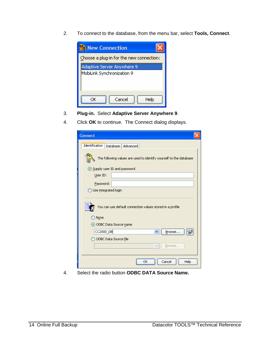2. To connect to the database, from the menu bar, select **Tools, Connect**.



- 3. **Plug-in.** Select **Adaptive Server Anywhere 9**.
- 4. Click **OK** to continue. The Connect dialog displays.

| Connect                                                            |
|--------------------------------------------------------------------|
| <b>Identification</b><br>Database Advanced                         |
| The following values are used to identify yourself to the database |
| ⊙ Supply user ID and password                                      |
| User ID:                                                           |
| Password:                                                          |
| Use integrated login                                               |
| You can use default connection values stored in a profile<br>None  |
| O ODBC Data Source name                                            |
| CC2000_DB<br>Browse                                                |
| O ODBC Data Source file                                            |
| Browse                                                             |
| Cancel<br>Help<br>ОК                                               |

4. Select the radio button **ODBC DATA Source Name.**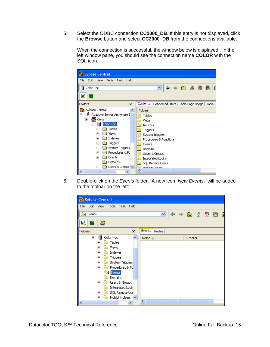5. Select the ODBC connection **CC2000\_DB**. If this entry is not displayed, click the **Browse** button and select **CC2000\_DB** from the connections available.

When the connection is successful, the window below is displayed. In the left window pane, you should see the connection name **COLOR** with the SQL icon.



6. Double-click on the *Events* folder. A new icon, *New Events*, will be added to the toolbar on the left:

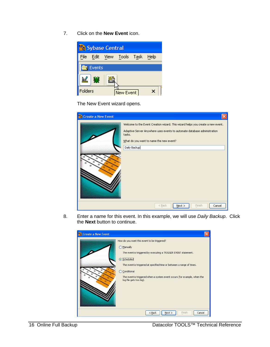7. Click on the **New Event** icon.



The New Event wizard opens.

| Create a New Event |                                                                                                                                                                                                                                  |
|--------------------|----------------------------------------------------------------------------------------------------------------------------------------------------------------------------------------------------------------------------------|
|                    | Welcome to the Event Creation wizard. This wizard helps you create a new event.<br>Adaptive Server Anywhere uses events to automate database administration<br>tasks.<br>What do you want to name the new event?<br>Daily Backup |
|                    | Finish<br>$<$ Back<br>Cancel<br>Next                                                                                                                                                                                             |

8. Enter a name for this event. In this example, we will use *Daily Backup*. Click the **Next** button to continue.

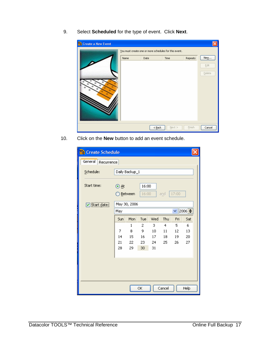9. Select **Scheduled** for the type of event. Click **Next**.



10. Click on the **New** button to add an event schedule.

| Create Schedule       |                  |                |                |          |          |          |             |
|-----------------------|------------------|----------------|----------------|----------|----------|----------|-------------|
| General<br>Recurrence |                  |                |                |          |          |          |             |
| Schedule:             |                  | Daily Backup_1 |                |          |          |          |             |
| Start time:           | ⊙≞t<br>◯ Between |                | 16:00<br>16:00 |          | and      | 17:00    |             |
| Start date:           |                  | May 30, 2006   |                |          |          |          |             |
|                       | May              |                |                |          |          | ٧        | $2006 \div$ |
|                       | Sun              | Mon            | Tue            | Wed      | Thu      | Fri      | Sat         |
|                       |                  | 1              | 2              | 3        | 4        | 5        | 6           |
|                       | 7                | 8              | 9              | 10       | 11       | 12       | 13          |
|                       | 14<br>21         | 15<br>22       | 16<br>23       | 17<br>24 | 18<br>25 | 19<br>26 | 20<br>27    |
|                       | 28               | 29             | 30             | 31       |          |          |             |
|                       |                  |                |                |          |          |          |             |
|                       |                  |                | ОK             |          | Cancel   |          | Help        |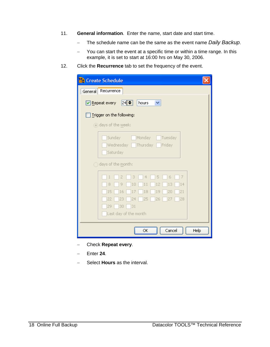- 11. **General information**. Enter the name, start date and start time.
	- − The schedule name can be the same as the event name *Daily Backup*.
	- − You can start the event at a specific time or within a time range. In this example, it is set to start at 16:00 hrs on May 30, 2006.
- 12. Click the **Recurrence** tab to set the frequency of the event.

| Create Schedule                                                                                                                                                                                                     |      |
|---------------------------------------------------------------------------------------------------------------------------------------------------------------------------------------------------------------------|------|
| Recurrence<br>General                                                                                                                                                                                               |      |
| 24<br>hours<br>$\triangledown$ Repeat every<br>v                                                                                                                                                                    |      |
| Trigger on the following:                                                                                                                                                                                           |      |
| a days of the week:                                                                                                                                                                                                 |      |
| Sunday<br>Monday<br>Tuesday<br>Wednesday Thursday<br>Friday<br>Saturday<br>$\bigcirc$ days of the month:                                                                                                            |      |
| 3<br>$\overline{4}$<br>5<br>6<br>7<br>2<br>9<br>12<br>13<br>14<br>8<br>10<br>11<br>21<br>15<br>16<br>18<br>19<br>17<br>20<br>25<br>26<br>28<br>$24 -$<br>27<br>22<br>23<br>30<br> 31<br>29<br>Last day of the month |      |
| Cancel<br>OK                                                                                                                                                                                                        | Help |

- − Check **Repeat every**.
- − Enter **24**.
- − Select **Hours** as the interval.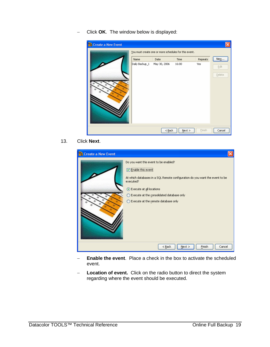− Click **OK**. The window below is displayed:

| Create a New Event |                | You must create one or more schedules for this event. |          |         |                |
|--------------------|----------------|-------------------------------------------------------|----------|---------|----------------|
|                    | Name           | Date                                                  | Time     | Repeats | New            |
|                    | Daily Backup_1 | May 30, 2006                                          | 16:00    | Yes     | Edit<br>Delete |
|                    |                | $<$ Back                                              | $Next$ > | Finish  | Cancel         |

#### 13. Click **Next**.

| Create a New Event |                                                                                                                                                                                                                                                                                   |
|--------------------|-----------------------------------------------------------------------------------------------------------------------------------------------------------------------------------------------------------------------------------------------------------------------------------|
|                    | Do you want this event to be enabled?<br>Enable this event<br>At which databases in a SQL Remote configuration do you want the event to be<br>executed?<br>Execute at all locations<br>Execute at the consolidated database only<br>∋<br>Execute at the remote database only<br>∩ |
|                    | $<$ Back<br>Next<br>Finish<br>Cancel                                                                                                                                                                                                                                              |

- − **Enable the event**. Place a check in the box to activate the scheduled event.
- − **Location of event.** Click on the radio button to direct the system regarding where the event should be executed.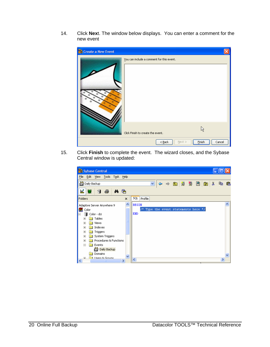14. Click **Nex**t. The window below displays. You can enter a comment for the new event

| Create a New Event |                                           |                               |
|--------------------|-------------------------------------------|-------------------------------|
|                    | You can include a comment for this event. |                               |
|                    | Click Finish to create the event.         | な                             |
|                    | $Back$                                    | $N$ ext ><br>Finish<br>Cancel |

15. Click **Finish** to complete the event. The wizard closes, and the Sybase Central window is updated:

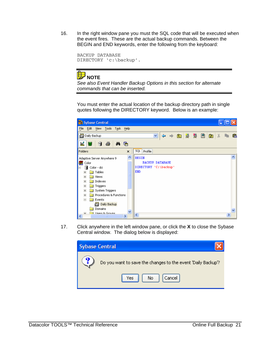16. In the right window pane you must the SQL code that will be executed when the event fires. These are the actual backup commands. Between the BEGIN and END keywords, enter the following from the keyboard:

BACKUP DATABASE DIRECTORY 'c:\backup'.



*See also Event Handler Backup Options in this section for alternate commands that can be inserted.* 

You must enter the actual location of the backup directory path in single quotes following the DIRECTORY keyword. Below is an example:



17. Click anywhere in the left window pane, or click the **X** to close the Sybase Central window. The dialog below is displayed:

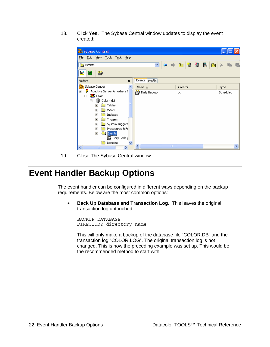18. Click **Yes.** The Sybase Central window updates to display the event created:

<span id="page-25-0"></span>

| Sybase Central                                                                                                                                                                                                                                                                                                      |                   |             |                                                                                                                                                                                                                                                                                                                                                            |               |
|---------------------------------------------------------------------------------------------------------------------------------------------------------------------------------------------------------------------------------------------------------------------------------------------------------------------|-------------------|-------------|------------------------------------------------------------------------------------------------------------------------------------------------------------------------------------------------------------------------------------------------------------------------------------------------------------------------------------------------------------|---------------|
| File Edit View Tools Task Help                                                                                                                                                                                                                                                                                      |                   |             |                                                                                                                                                                                                                                                                                                                                                            |               |
| Events                                                                                                                                                                                                                                                                                                              | v                 |             | $\Leftrightarrow$ $\Leftrightarrow$ $\blacksquare$ $\lbrack \lbrack \lbrack$ $\lbrack \lbrack$ $\lbrack \lbrack$ $\lbrack$ $\lbrack$ $\lbrack$ $\lbrack$ $\lbrack$ $\lbrack$ $\lbrack$ $\lbrack$ $\lbrack$ $\lbrack$ $\lbrack$ $\lbrack$ $\lbrack$ $\lbrack$ $\lbrack$ $\lbrack$ $\lbrack$ $\lbrack$ $\lbrack$ $\lbrack$ $\lbrack$ $\lbrack$ $\lbrack$ $\$ | Y,<br>囪       |
| 鹢<br>R,<br>窶                                                                                                                                                                                                                                                                                                        |                   |             |                                                                                                                                                                                                                                                                                                                                                            |               |
| Folders<br>$\times$                                                                                                                                                                                                                                                                                                 | Events<br>Profile |             |                                                                                                                                                                                                                                                                                                                                                            |               |
| ≌<br>Sybase Central<br>∧                                                                                                                                                                                                                                                                                            | Name A            |             | Creator                                                                                                                                                                                                                                                                                                                                                    | Type          |
| v<br>Adaptive Server Anywhere 9<br>Ξ<br><b>SAC</b> Color<br>$\Box$<br>Color - dci<br>$\Box$<br>Tables<br>$+$<br>Views<br>$\overline{+}$<br>Indexes<br>$\overline{+}$<br>Triggers<br>$\overline{+}$<br>System Triggers<br>$+$<br>Procedures & Fu<br>$\overline{+}$<br>Events<br>$\Box$<br>ed Daily Backup<br>Domains | Loaily Backup     |             | dci                                                                                                                                                                                                                                                                                                                                                        | Scheduled     |
| $\overline{\left( \cdot \right)}$<br>۶<br><b>IIII</b>                                                                                                                                                                                                                                                               | ≮∣                | <b>TILL</b> |                                                                                                                                                                                                                                                                                                                                                            | $\rightarrow$ |

19. Close The Sybase Central window.

## **Event Handler Backup Options**

The event handler can be configured in different ways depending on the backup requirements. Below are the most common options:

• **Back Up Database and Transaction Log**. This leaves the original transaction log untouched.

BACKUP DATABASE DIRECTORY directory\_name

This will only make a backup of the database file "COLOR.DB" and the transaction log "COLOR.LOG". The original transaction log is not changed. This is how the preceding example was set up. This would be the recommended method to start with.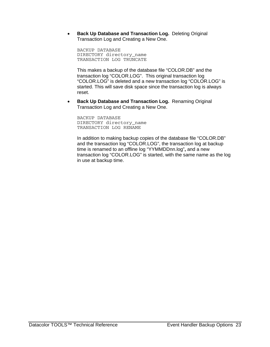• **Back Up Database and Transaction Log.** Deleting Original Transaction Log and Creating a New One.

BACKUP DATABASE DIRECTORY directory\_name TRANSACTION LOG TRUNCATE

This makes a backup of the database file "COLOR.DB" and the transaction log "COLOR.LOG". This original transaction log "COLOR.LOG" is deleted and a new transaction log "COLOR.LOG" is started. This will save disk space since the transaction log is always reset.

• **Back Up Database and Transaction Log.** Renaming Original Transaction Log and Creating a New One.

BACKUP DATABASE DIRECTORY directory\_name TRANSACTION LOG RENAME

In addition to making backup copies of the database file "COLOR.DB" and the transaction log "COLOR.LOG", the transaction log at backup time is renamed to an offline log "YYMMDDnn.log"**,** and a new transaction log "COLOR.LOG" is started, with the same name as the log in use at backup time.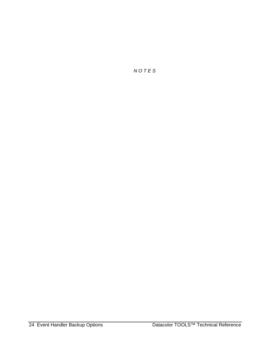*N O T E S*